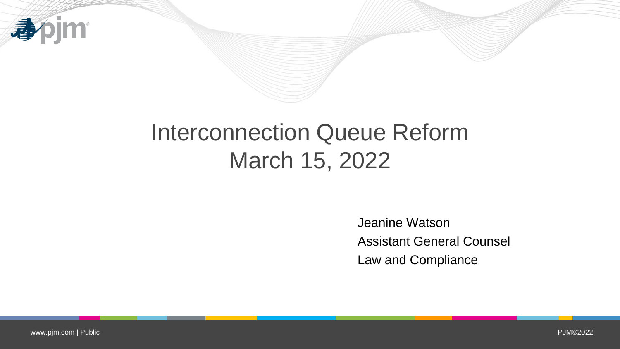

# Interconnection Queue Reform March 15, 2022

Jeanine Watson Assistant General Counsel Law and Compliance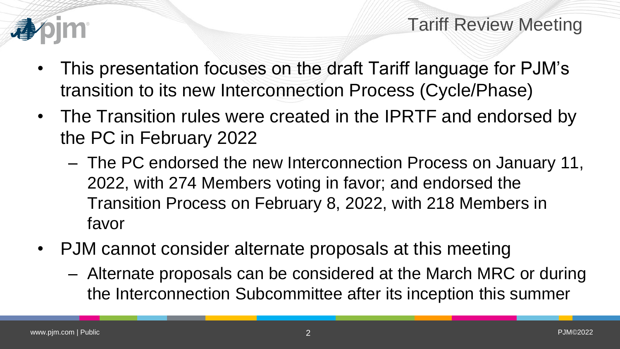

- This presentation focuses on the draft Tariff language for PJM's transition to its new Interconnection Process (Cycle/Phase)
- The Transition rules were created in the IPRTF and endorsed by the PC in February 2022
	- The PC endorsed the new Interconnection Process on January 11, 2022, with 274 Members voting in favor; and endorsed the Transition Process on February 8, 2022, with 218 Members in favor
- PJM cannot consider alternate proposals at this meeting
	- Alternate proposals can be considered at the March MRC or during the Interconnection Subcommittee after its inception this summer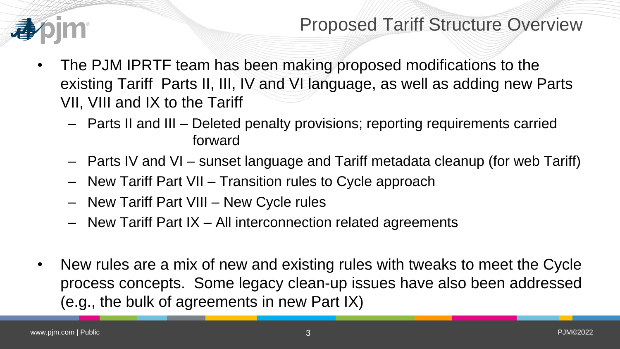

### Proposed Tariff Structure Overview

- The PJM IPRTF team has been making proposed modifications to the existing Tariff Parts II, III, IV and VI language, as well as adding new Parts VII, VIII and IX to the Tariff
	- Parts II and III Deleted penalty provisions; reporting requirements carried forward
	- Parts IV and VI sunset language and Tariff metadata cleanup (for web Tariff)
	- New Tariff Part VII Transition rules to Cycle approach
	- New Tariff Part VIII New Cycle rules
	- New Tariff Part IX All interconnection related agreements
- New rules are a mix of new and existing rules with tweaks to meet the Cycle process concepts. Some legacy clean-up issues have also been addressed (e.g., the bulk of agreements in new Part IX)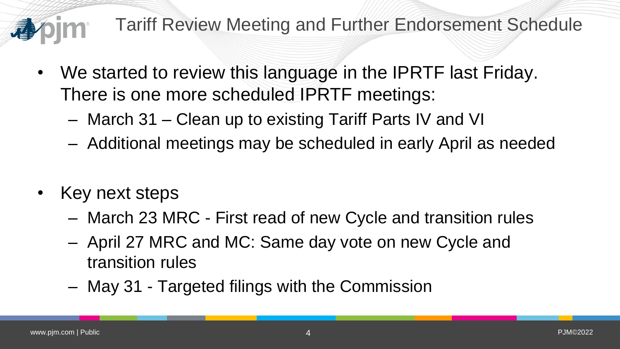Tariff Review Meeting and Further Endorsement Schedule

- We started to review this language in the IPRTF last Friday. There is one more scheduled IPRTF meetings:
	- March 31 Clean up to existing Tariff Parts IV and VI
	- Additional meetings may be scheduled in early April as needed
- Key next steps
	- March 23 MRC First read of new Cycle and transition rules
	- April 27 MRC and MC: Same day vote on new Cycle and transition rules
	- May 31 Targeted filings with the Commission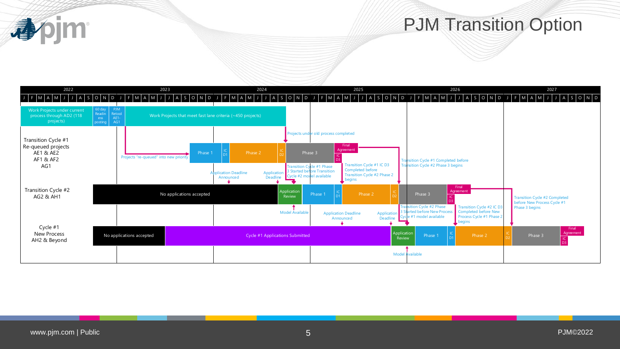

#### PJM Transition Option

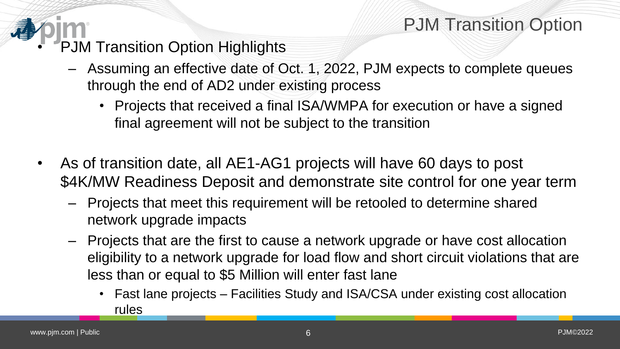## PJM Transition Option

- PJM Transition Option Highlights
	- Assuming an effective date of Oct. 1, 2022, PJM expects to complete queues through the end of AD2 under existing process
		- Projects that received a final ISA/WMPA for execution or have a signed final agreement will not be subject to the transition
- As of transition date, all AE1-AG1 projects will have 60 days to post \$4K/MW Readiness Deposit and demonstrate site control for one year term
	- Projects that meet this requirement will be retooled to determine shared network upgrade impacts
	- Projects that are the first to cause a network upgrade or have cost allocation eligibility to a network upgrade for load flow and short circuit violations that are less than or equal to \$5 Million will enter fast lane
		- Fast lane projects Facilities Study and ISA/CSA under existing cost allocation rules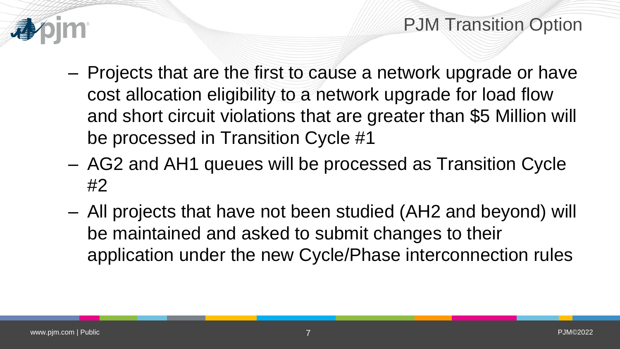

- Projects that are the first to cause a network upgrade or have cost allocation eligibility to a network upgrade for load flow and short circuit violations that are greater than \$5 Million will be processed in Transition Cycle #1
- AG2 and AH1 queues will be processed as Transition Cycle #2
- All projects that have not been studied (AH2 and beyond) will be maintained and asked to submit changes to their application under the new Cycle/Phase interconnection rules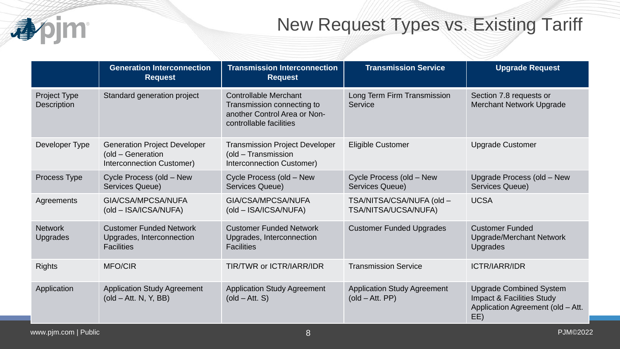

# New Request Types vs. Existing Tariff

|                                   | <b>Generation Interconnection</b><br><b>Request</b>                                   | <b>Transmission Interconnection</b><br><b>Request</b>                                                                 | <b>Transmission Service</b>                                            | <b>Upgrade Request</b>                                                                                             |
|-----------------------------------|---------------------------------------------------------------------------------------|-----------------------------------------------------------------------------------------------------------------------|------------------------------------------------------------------------|--------------------------------------------------------------------------------------------------------------------|
| Project Type<br>Description       | Standard generation project                                                           | <b>Controllable Merchant</b><br>Transmission connecting to<br>another Control Area or Non-<br>controllable facilities | Long Term Firm Transmission<br>Service                                 | Section 7.8 requests or<br><b>Merchant Network Upgrade</b>                                                         |
| Developer Type                    | <b>Generation Project Developer</b><br>(old - Generation<br>Interconnection Customer) | <b>Transmission Project Developer</b><br>(old - Transmission<br>Interconnection Customer)                             | <b>Eligible Customer</b>                                               | <b>Upgrade Customer</b>                                                                                            |
| Process Type                      | Cycle Process (old - New<br>Services Queue)                                           | Cycle Process (old - New<br>Services Queue)                                                                           | Cycle Process (old - New<br>Services Queue)                            | Upgrade Process (old - New<br>Services Queue)                                                                      |
| Agreements                        | GIA/CSA/MPCSA/NUFA<br>(old - ISA/ICSA/NUFA)                                           | GIA/CSA/MPCSA/NUFA<br>(old - ISA/ICSA/NUFA)                                                                           | TSA/NITSA/CSA/NUFA (old -<br>TSA/NITSA/UCSA/NUFA)                      | <b>UCSA</b>                                                                                                        |
| <b>Network</b><br><b>Upgrades</b> | <b>Customer Funded Network</b><br>Upgrades, Interconnection<br><b>Facilities</b>      | <b>Customer Funded Network</b><br>Upgrades, Interconnection<br><b>Facilities</b>                                      | <b>Customer Funded Upgrades</b>                                        | <b>Customer Funded</b><br><b>Upgrade/Merchant Network</b><br><b>Upgrades</b>                                       |
| <b>Rights</b>                     | <b>MFO/CIR</b>                                                                        | <b>TIR/TWR or ICTR/IARR/IDR</b>                                                                                       | <b>Transmission Service</b>                                            | <b>ICTR/IARR/IDR</b>                                                                                               |
| Application                       | <b>Application Study Agreement</b><br>$\left($ old $-$ Att. N, Y, BB $\right)$        | <b>Application Study Agreement</b><br>$\left($ old – Att. S $\right)$                                                 | <b>Application Study Agreement</b><br>$\left($ old – Att. PP $\right)$ | <b>Upgrade Combined System</b><br><b>Impact &amp; Facilities Study</b><br>Application Agreement (old - Att.<br>EE) |